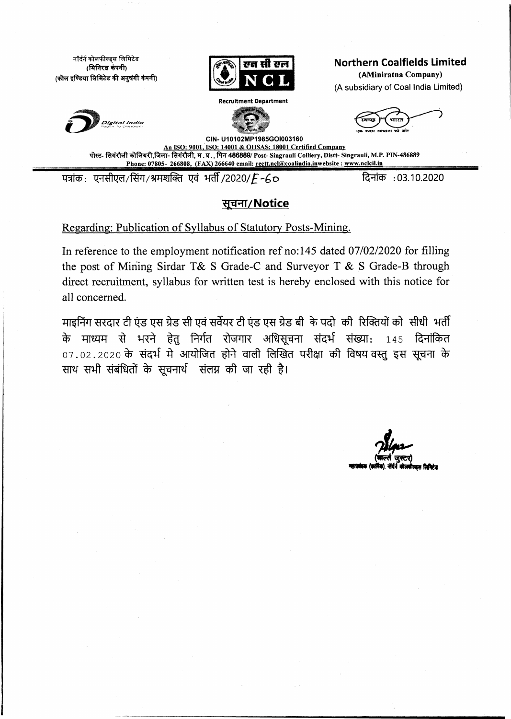नॉर्दर्न कोलफील्ड्स लिमिटेड  $($ मिनिरत्न कंपनी $)$ **( ^ T \$ R s <b** *t o f t i m « i \* [ \* **et>Hrfl)**



<sup>I</sup>'g g iiit p h <sup>I</sup> **Northern Coalfields Limited**

**(AMiniratna Company)** (A subsidiary of Coal India Limited)





**CIN- U10102MP1985GOI003160 An ISO: 9001. ISO: 14001 & OHSAS: 18001 Certified Company Tffce- fihMvft,** *V .* **3T., f^T 486889/ Post- Singrauli Colliery, Distt- Singrauli, M.P. PIN-486889 \_\_\_\_\_\_\_\_\_\_\_ Phone: 07805- 266808, (FAX) 266640 email: rectt.ncl@coalindia.inwebsite : [www.nclcil.in](http://www.nclcil.in)**

पत्रांक: एनसीएल/सिंग/श्रमशक्ति एवं भर्ती/2020/*E* -60 **h f a mate f e million** : 03.10.2020

# सूचना/ Notice

Regarding: Publication of Syllabus of Statutory Posts-Mining.

**In reference to the employment notification ref no: 145 dated 07/02/2020 for filling the post of Mining Sirdar T& S Grade-C and Surveyor T & S Grade-B through direct recruitment, syllabus for written test is hereby enclosed with this notice for all concerned.**

माइनिंग सरदार टी एंड एस ग्रेड सी एवं सर्वेयर टी एंड एस ग्रेड बीकके पदो की रिक्तियों को सीधी भर्ती के माध्यम से भरने हेतु निर्गत रोजगार अधिसूचना संदर्भ संख्या: 145 दिनांकित 07.02.2020 के संदर्भ मे आयोजित होने वाली लिखित परीक्षा की विषय वस्तु इस सूचना के **\*rm M M M % ^ rt\*F M r w M t i**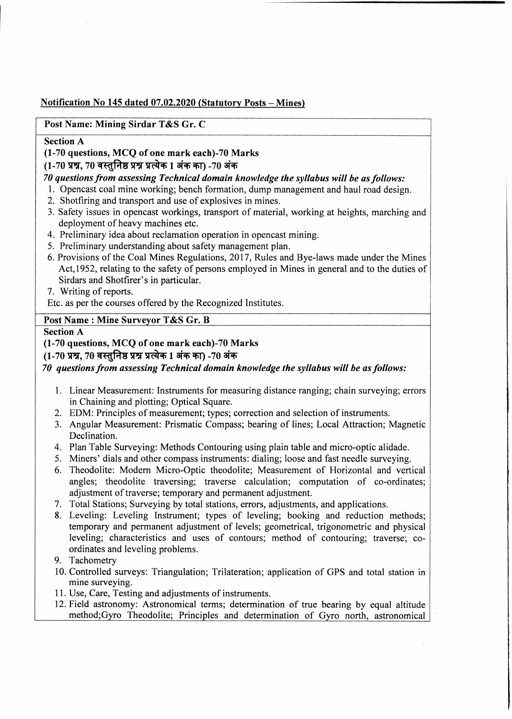## **Notification No 145 dated 07.02.2020 (Statutory Posts - Mines)**

## **Post Name: Mining Sirdar T&S Gr. C**

#### **Section A**

#### **(1-70 questions, MCQ of one mark each)-70 Marks**

(1-70 प्रश्न, 70 वस्तुनिष्ठ प्रश्न प्रत्येक 1 अंक का) -70 अंक

## *70 questions from assessing Technical domain knowledge the syllabus will be as follows:*

- 1. Opencast coal mine working; bench formation, dump management and haul road design.
- 2. Shotfiring and transport and use of explosives in mines.
- 3. Safety issues in opencast workings, transport of material, working at heights, marching and deployment of heavy machines etc.
- 4. Preliminary idea about reclamation operation in opencast mining.
- 5. Preliminary understanding about safety management plan.
- 6. Provisions of the Coal Mines Regulations, 2017, Rules and Bye-laws made under the Mines Act, 1952, relating to the safety of persons employed in Mines in general and to the duties of Sirdars and Shotfirer's in particular.
- 7. Writing of reports.

Etc. as per the courses offered by the Recognized Institutes.

## Post Name : Mine Surveyor T&S Gr. B

#### **Section A**

**(1-70 questions, MCQ of one mark each)-70 Marks**

#### (1-70 प्रश्न, 70 वस्तुनिष्ठ प्रश्न प्रत्येक 1 अंक का) -70 अंक

*70 questions from assessing Technical domain knowledge the syllabus will be as follows:*

- 1. Linear Measurement: Instruments for measuring distance ranging; chain surveying; errors in Chaining and plotting; Optical Square.
- 2. EDM: Principles of measurement; types; correction and selection of instruments.
- 3. Angular Measurement: Prismatic Compass; bearing of lines; Local Attraction; Magnetic Declination.
- 4. Plan Table Surveying: Methods Contouring using plain table and micro-optic alidade.
- 5. Miners' dials and other compass instruments: dialing; loose and fast needle surveying.
- 6. Theodolite: Modem Micro-Optic theodolite; Measurement of Horizontal and vertical angles; theodolite traversing; traverse calculation; computation of co-ordinates; adjustment of traverse; temporary and permanent adjustment.
- 7. Total Stations; Surveying by total stations, errors, adjustments, and applications.
- 8. Leveling: Leveling Instrument; types of leveling; booking and reduction methods; temporary and permanent adjustment of levels; geometrical, trigonometric and physical leveling; characteristics and uses of contours; method of contouring; traverse; coordinates and leveling problems.
- 9. Tachometry
- 10. Controlled surveys: Triangulation; Trilateration; application of GPS and total station in mine surveying.
- 11. Use, Care, Testing and adjustments of instruments.
- 12. Field astronomy: Astronomical terms; determination of true bearing by equal altitude method;Gyro Theodolite; Principles and determination of Gyro north, astronomical